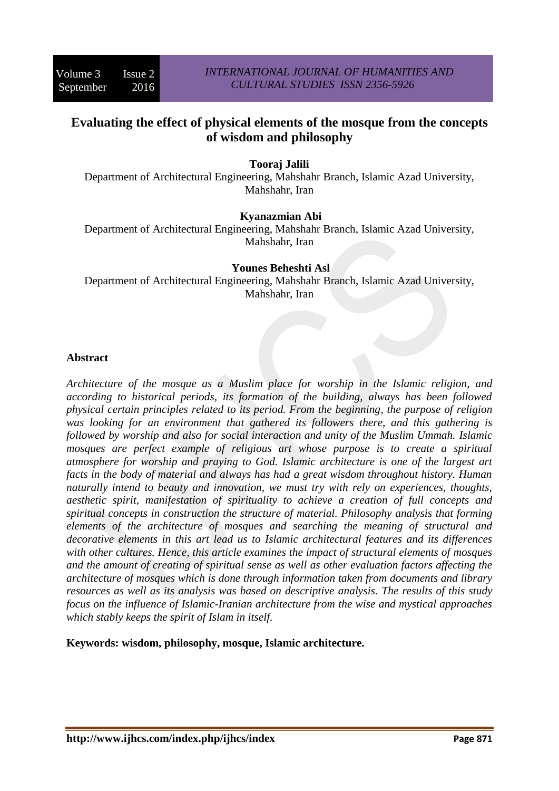# **Evaluating the effect of physical elements of the mosque from the concepts of wisdom and philosophy**

## **Tooraj Jalili**

Department of Architectural Engineering, Mahshahr Branch, Islamic Azad University, Mahshahr, Iran

### **Kyanazmian Abi**

Department of Architectural Engineering, Mahshahr Branch, Islamic Azad University, Mahshahr, Iran

## **Younes Beheshti Asl**

Department of Architectural Engineering, Mahshahr Branch, Islamic Azad University, Mahshahr, Iran

### **Abstract**

*Architecture of the mosque as a Muslim place for worship in the Islamic religion, and according to historical periods, its formation of the building, always has been followed physical certain principles related to its period. From the beginning, the purpose of religion was looking for an environment that gathered its followers there, and this gathering is followed by worship and also for social interaction and unity of the Muslim Ummah. Islamic mosques are perfect example of religious art whose purpose is to create a spiritual atmosphere for worship and praying to God. Islamic architecture is one of the largest art facts in the body of material and always has had a great wisdom throughout history. Human naturally intend to beauty and innovation, we must try with rely on experiences, thoughts, aesthetic spirit, manifestation of spirituality to achieve a creation of full concepts and spiritual concepts in construction the structure of material. Philosophy analysis that forming elements of the architecture of mosques and searching the meaning of structural and decorative elements in this art lead us to Islamic architectural features and its differences with other cultures. Hence, this article examines the impact of structural elements of mosques and the amount of creating of spiritual sense as well as other evaluation factors affecting the architecture of mosques which is done through information taken from documents and library resources as well as its analysis was based on descriptive analysis. The results of this study focus on the influence of Islamic-Iranian architecture from the wise and mystical approaches which stably keeps the spirit of Islam in itself.*

**Keywords: wisdom, philosophy, mosque, Islamic architecture.**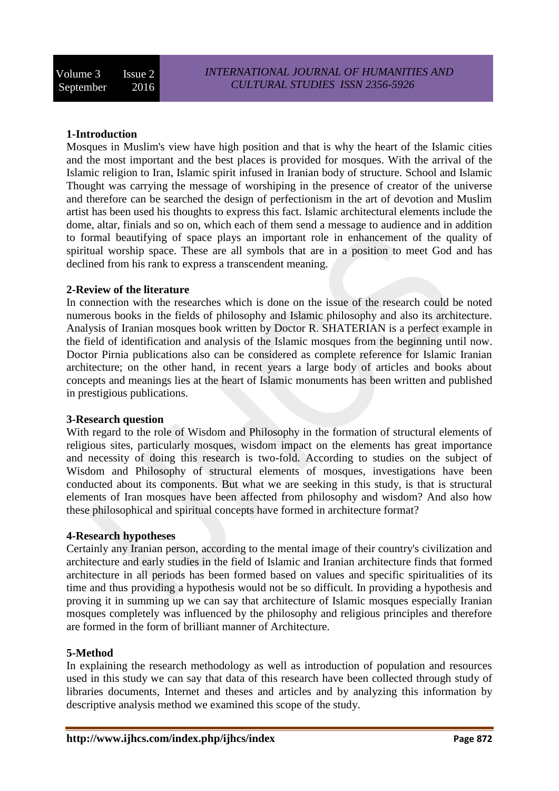### **1-Introduction**

Mosques in Muslim's view have high position and that is why the heart of the Islamic cities and the most important and the best places is provided for mosques. With the arrival of the Islamic religion to Iran, Islamic spirit infused in Iranian body of structure. School and Islamic Thought was carrying the message of worshiping in the presence of creator of the universe and therefore can be searched the design of perfectionism in the art of devotion and Muslim artist has been used his thoughts to express this fact. Islamic architectural elements include the dome, altar, finials and so on, which each of them send a message to audience and in addition to formal beautifying of space plays an important role in enhancement of the quality of spiritual worship space. These are all symbols that are in a position to meet God and has declined from his rank to express a transcendent meaning.

### **2-Review of the literature**

In connection with the researches which is done on the issue of the research could be noted numerous books in the fields of philosophy and Islamic philosophy and also its architecture. Analysis of Iranian mosques book written by Doctor R. SHATERIAN is a perfect example in the field of identification and analysis of the Islamic mosques from the beginning until now. Doctor Pirnia publications also can be considered as complete reference for Islamic Iranian architecture; on the other hand, in recent years a large body of articles and books about concepts and meanings lies at the heart of Islamic monuments has been written and published in prestigious publications.

### **3-Research question**

With regard to the role of Wisdom and Philosophy in the formation of structural elements of religious sites, particularly mosques, wisdom impact on the elements has great importance and necessity of doing this research is two-fold. According to studies on the subject of Wisdom and Philosophy of structural elements of mosques, investigations have been conducted about its components. But what we are seeking in this study, is that is structural elements of Iran mosques have been affected from philosophy and wisdom? And also how these philosophical and spiritual concepts have formed in architecture format?

### **4-Research hypotheses**

Certainly any Iranian person, according to the mental image of their country's civilization and architecture and early studies in the field of Islamic and Iranian architecture finds that formed architecture in all periods has been formed based on values and specific spiritualities of its time and thus providing a hypothesis would not be so difficult. In providing a hypothesis and proving it in summing up we can say that architecture of Islamic mosques especially Iranian mosques completely was influenced by the philosophy and religious principles and therefore are formed in the form of brilliant manner of Architecture.

### **5-Method**

In explaining the research methodology as well as introduction of population and resources used in this study we can say that data of this research have been collected through study of libraries documents, Internet and theses and articles and by analyzing this information by descriptive analysis method we examined this scope of the study.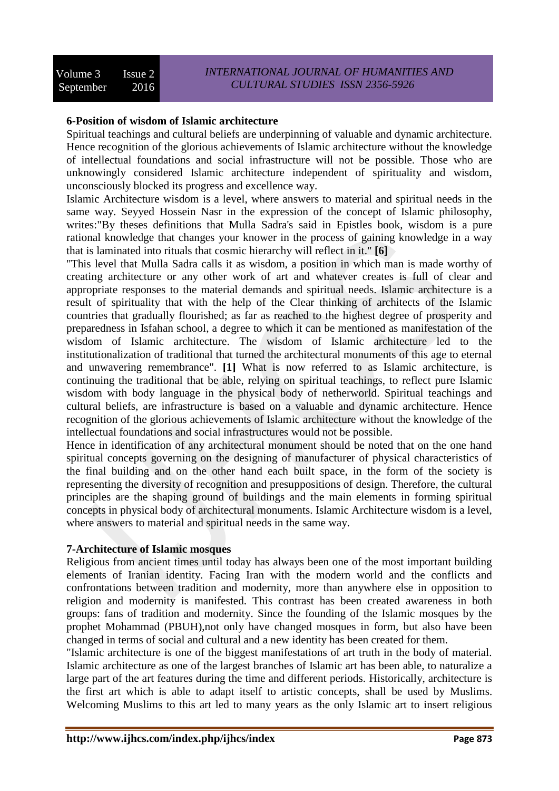## **6-Position of wisdom of Islamic architecture**

Spiritual teachings and cultural beliefs are underpinning of valuable and dynamic architecture. Hence recognition of the glorious achievements of Islamic architecture without the knowledge of intellectual foundations and social infrastructure will not be possible. Those who are unknowingly considered Islamic architecture independent of spirituality and wisdom, unconsciously blocked its progress and excellence way.

Islamic Architecture wisdom is a level, where answers to material and spiritual needs in the same way. Seyyed Hossein Nasr in the expression of the concept of Islamic philosophy, writes:"By theses definitions that Mulla Sadra's said in Epistles book, wisdom is a pure rational knowledge that changes your knower in the process of gaining knowledge in a way that is laminated into rituals that cosmic hierarchy will reflect in it." **[6]**

"This level that Mulla Sadra calls it as wisdom, a position in which man is made worthy of creating architecture or any other work of art and whatever creates is full of clear and appropriate responses to the material demands and spiritual needs. Islamic architecture is a result of spirituality that with the help of the Clear thinking of architects of the Islamic countries that gradually flourished; as far as reached to the highest degree of prosperity and preparedness in Isfahan school, a degree to which it can be mentioned as manifestation of the wisdom of Islamic architecture. The wisdom of Islamic architecture led to the institutionalization of traditional that turned the architectural monuments of this age to eternal and unwavering remembrance". **[1]** What is now referred to as Islamic architecture, is continuing the traditional that be able, relying on spiritual teachings, to reflect pure Islamic wisdom with body language in the physical body of netherworld. Spiritual teachings and cultural beliefs, are infrastructure is based on a valuable and dynamic architecture. Hence recognition of the glorious achievements of Islamic architecture without the knowledge of the intellectual foundations and social infrastructures would not be possible.

Hence in identification of any architectural monument should be noted that on the one hand spiritual concepts governing on the designing of manufacturer of physical characteristics of the final building and on the other hand each built space, in the form of the society is representing the diversity of recognition and presuppositions of design. Therefore, the cultural principles are the shaping ground of buildings and the main elements in forming spiritual concepts in physical body of architectural monuments. Islamic Architecture wisdom is a level, where answers to material and spiritual needs in the same way.

### **7-Architecture of Islamic mosques**

Religious from ancient times until today has always been one of the most important building elements of Iranian identity. Facing Iran with the modern world and the conflicts and confrontations between tradition and modernity, more than anywhere else in opposition to religion and modernity is manifested. This contrast has been created awareness in both groups: fans of tradition and modernity. Since the founding of the Islamic mosques by the prophet Mohammad (PBUH),not only have changed mosques in form, but also have been changed in terms of social and cultural and a new identity has been created for them.

"Islamic architecture is one of the biggest manifestations of art truth in the body of material. Islamic architecture as one of the largest branches of Islamic art has been able, to naturalize a large part of the art features during the time and different periods. Historically, architecture is the first art which is able to adapt itself to artistic concepts, shall be used by Muslims. Welcoming Muslims to this art led to many years as the only Islamic art to insert religious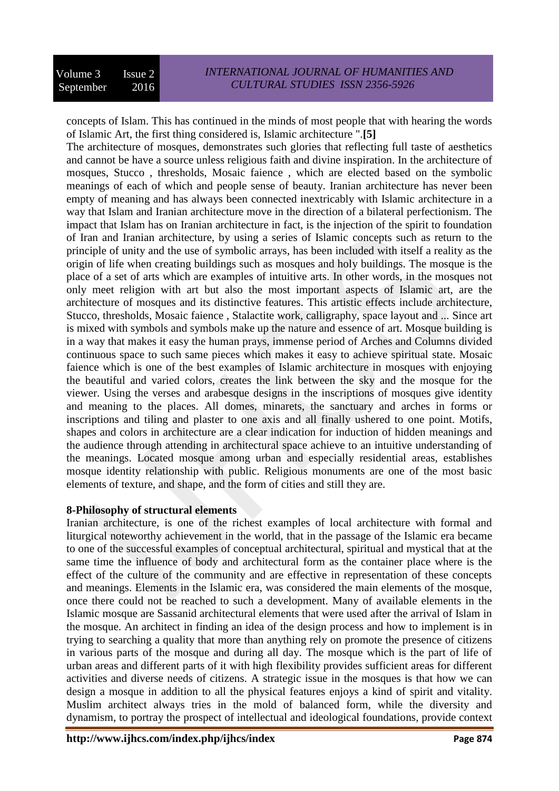concepts of Islam. This has continued in the minds of most people that with hearing the words of Islamic Art, the first thing considered is, Islamic architecture ".**[5]**

The architecture of mosques, demonstrates such glories that reflecting full taste of aesthetics and cannot be have a source unless religious faith and divine inspiration. In the architecture of mosques, Stucco , thresholds, Mosaic faience , which are elected based on the symbolic meanings of each of which and people sense of beauty. Iranian architecture has never been empty of meaning and has always been connected inextricably with Islamic architecture in a way that Islam and Iranian architecture move in the direction of a bilateral perfectionism. The impact that Islam has on Iranian architecture in fact, is the injection of the spirit to foundation of Iran and Iranian architecture, by using a series of Islamic concepts such as return to the principle of unity and the use of symbolic arrays, has been included with itself a reality as the origin of life when creating buildings such as mosques and holy buildings. The mosque is the place of a set of arts which are examples of intuitive arts. In other words, in the mosques not only meet religion with art but also the most important aspects of Islamic art, are the architecture of mosques and its distinctive features. This artistic effects include architecture, Stucco, thresholds, Mosaic faience , Stalactite work, calligraphy, space layout and ... Since art is mixed with symbols and symbols make up the nature and essence of art. Mosque building is in a way that makes it easy the human prays, immense period of Arches and Columns divided continuous space to such same pieces which makes it easy to achieve spiritual state. Mosaic faience which is one of the best examples of Islamic architecture in mosques with enjoying the beautiful and varied colors, creates the link between the sky and the mosque for the viewer. Using the verses and arabesque designs in the inscriptions of mosques give identity and meaning to the places. All domes, minarets, the sanctuary and arches in forms or inscriptions and tiling and plaster to one axis and all finally ushered to one point. Motifs, shapes and colors in architecture are a clear indication for induction of hidden meanings and the audience through attending in architectural space achieve to an intuitive understanding of the meanings. Located mosque among urban and especially residential areas, establishes mosque identity relationship with public. Religious monuments are one of the most basic elements of texture, and shape, and the form of cities and still they are.

### **8-Philosophy of structural elements**

Iranian architecture, is one of the richest examples of local architecture with formal and liturgical noteworthy achievement in the world, that in the passage of the Islamic era became to one of the successful examples of conceptual architectural, spiritual and mystical that at the same time the influence of body and architectural form as the container place where is the effect of the culture of the community and are effective in representation of these concepts and meanings. Elements in the Islamic era, was considered the main elements of the mosque, once there could not be reached to such a development. Many of available elements in the Islamic mosque are Sassanid architectural elements that were used after the arrival of Islam in the mosque. An architect in finding an idea of the design process and how to implement is in trying to searching a quality that more than anything rely on promote the presence of citizens in various parts of the mosque and during all day. The mosque which is the part of life of urban areas and different parts of it with high flexibility provides sufficient areas for different activities and diverse needs of citizens. A strategic issue in the mosques is that how we can design a mosque in addition to all the physical features enjoys a kind of spirit and vitality. Muslim architect always tries in the mold of balanced form, while the diversity and dynamism, to portray the prospect of intellectual and ideological foundations, provide context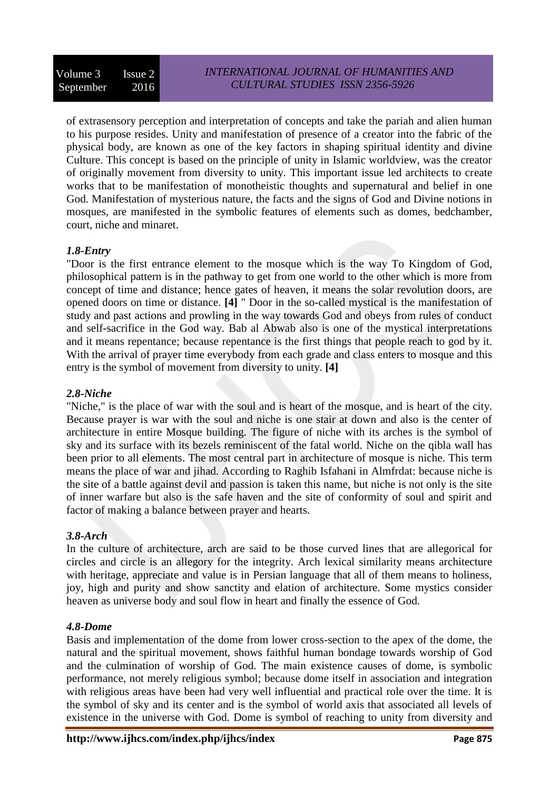of extrasensory perception and interpretation of concepts and take the pariah and alien human to his purpose resides. Unity and manifestation of presence of a creator into the fabric of the physical body, are known as one of the key factors in shaping spiritual identity and divine Culture. This concept is based on the principle of unity in Islamic worldview, was the creator of originally movement from diversity to unity. This important issue led architects to create works that to be manifestation of monotheistic thoughts and supernatural and belief in one God. Manifestation of mysterious nature, the facts and the signs of God and Divine notions in mosques, are manifested in the symbolic features of elements such as domes, bedchamber, court, niche and minaret.

## *1.8-Entry*

"Door is the first entrance element to the mosque which is the way To Kingdom of God, philosophical pattern is in the pathway to get from one world to the other which is more from concept of time and distance; hence gates of heaven, it means the solar revolution doors, are opened doors on time or distance. **[4]** " Door in the so-called mystical is the manifestation of study and past actions and prowling in the way towards God and obeys from rules of conduct and self-sacrifice in the God way. Bab al Abwab also is one of the mystical interpretations and it means repentance; because repentance is the first things that people reach to god by it. With the arrival of prayer time everybody from each grade and class enters to mosque and this entry is the symbol of movement from diversity to unity. **[4]**

## *2.8-Niche*

"Niche," is the place of war with the soul and is heart of the mosque, and is heart of the city. Because prayer is war with the soul and niche is one stair at down and also is the center of architecture in entire Mosque building. The figure of niche with its arches is the symbol of sky and its surface with its bezels reminiscent of the fatal world. Niche on the qibla wall has been prior to all elements. The most central part in architecture of mosque is niche. This term means the place of war and jihad. According to Raghib Isfahani in Almfrdat: because niche is the site of a battle against devil and passion is taken this name, but niche is not only is the site of inner warfare but also is the safe haven and the site of conformity of soul and spirit and factor of making a balance between prayer and hearts.

## *3.8-Arch*

In the culture of architecture, arch are said to be those curved lines that are allegorical for circles and circle is an allegory for the integrity. Arch lexical similarity means architecture with heritage, appreciate and value is in Persian language that all of them means to holiness, joy, high and purity and show sanctity and elation of architecture. Some mystics consider heaven as universe body and soul flow in heart and finally the essence of God.

## *4.8-Dome*

Basis and implementation of the dome from lower cross-section to the apex of the dome, the natural and the spiritual movement, shows faithful human bondage towards worship of God and the culmination of worship of God. The main existence causes of dome, is symbolic performance, not merely religious symbol; because dome itself in association and integration with religious areas have been had very well influential and practical role over the time. It is the symbol of sky and its center and is the symbol of world axis that associated all levels of existence in the universe with God. Dome is symbol of reaching to unity from diversity and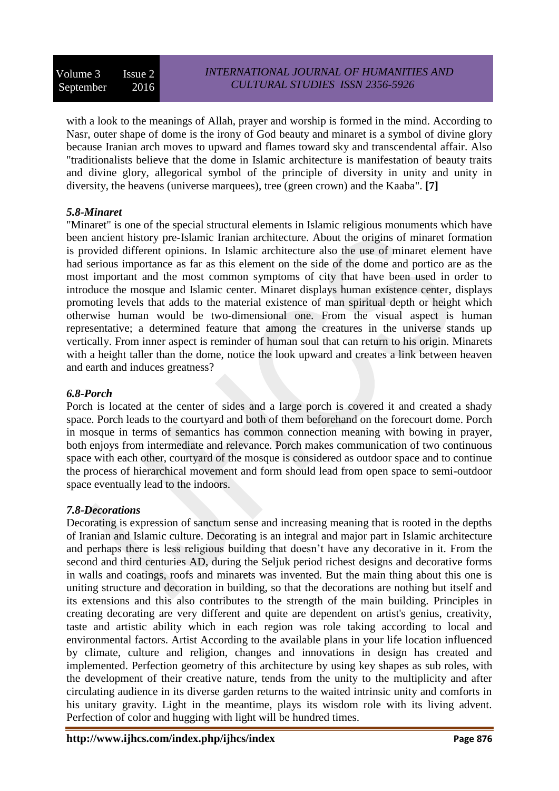with a look to the meanings of Allah, prayer and worship is formed in the mind. According to Nasr, outer shape of dome is the irony of God beauty and minaret is a symbol of divine glory because Iranian arch moves to upward and flames toward sky and transcendental affair. Also "traditionalists believe that the dome in Islamic architecture is manifestation of beauty traits and divine glory, allegorical symbol of the principle of diversity in unity and unity in diversity, the heavens (universe marquees), tree (green crown) and the Kaaba". **[7]**

### *5.8-Minaret*

"Minaret" is one of the special structural elements in Islamic religious monuments which have been ancient history pre-Islamic Iranian architecture. About the origins of minaret formation is provided different opinions. In Islamic architecture also the use of minaret element have had serious importance as far as this element on the side of the dome and portico are as the most important and the most common symptoms of city that have been used in order to introduce the mosque and Islamic center. Minaret displays human existence center, displays promoting levels that adds to the material existence of man spiritual depth or height which otherwise human would be two-dimensional one. From the visual aspect is human representative; a determined feature that among the creatures in the universe stands up vertically. From inner aspect is reminder of human soul that can return to his origin. Minarets with a height taller than the dome, notice the look upward and creates a link between heaven and earth and induces greatness?

## *6.8-Porch*

Porch is located at the center of sides and a large porch is covered it and created a shady space. Porch leads to the courtyard and both of them beforehand on the forecourt dome. Porch in mosque in terms of semantics has common connection meaning with bowing in prayer, both enjoys from intermediate and relevance. Porch makes communication of two continuous space with each other, courtyard of the mosque is considered as outdoor space and to continue the process of hierarchical movement and form should lead from open space to semi-outdoor space eventually lead to the indoors.

## *7.8-Decorations*

Decorating is expression of sanctum sense and increasing meaning that is rooted in the depths of Iranian and Islamic culture. Decorating is an integral and major part in Islamic architecture and perhaps there is less religious building that doesn't have any decorative in it. From the second and third centuries AD, during the Seljuk period richest designs and decorative forms in walls and coatings, roofs and minarets was invented. But the main thing about this one is uniting structure and decoration in building, so that the decorations are nothing but itself and its extensions and this also contributes to the strength of the main building. Principles in creating decorating are very different and quite are dependent on artist's genius, creativity, taste and artistic ability which in each region was role taking according to local and environmental factors. Artist According to the available plans in your life location influenced by climate, culture and religion, changes and innovations in design has created and implemented. Perfection geometry of this architecture by using key shapes as sub roles, with the development of their creative nature, tends from the unity to the multiplicity and after circulating audience in its diverse garden returns to the waited intrinsic unity and comforts in his unitary gravity. Light in the meantime, plays its wisdom role with its living advent. Perfection of color and hugging with light will be hundred times.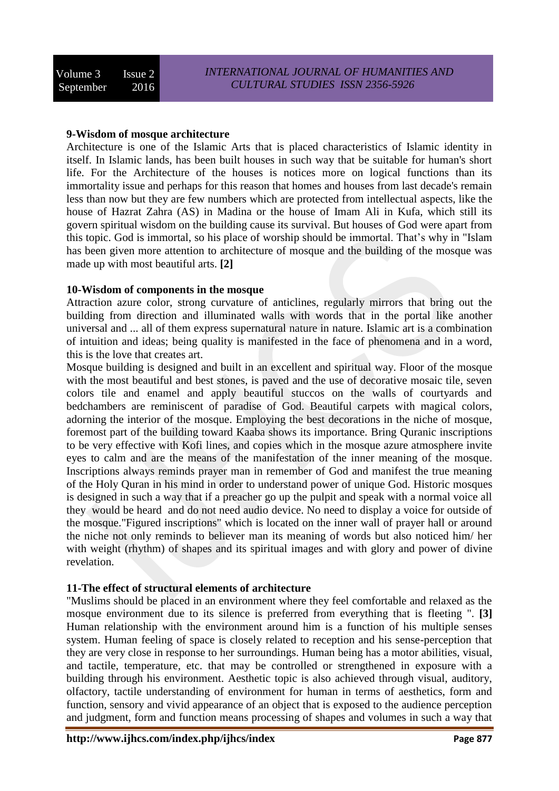## **9-Wisdom of mosque architecture**

Architecture is one of the Islamic Arts that is placed characteristics of Islamic identity in itself. In Islamic lands, has been built houses in such way that be suitable for human's short life. For the Architecture of the houses is notices more on logical functions than its immortality issue and perhaps for this reason that homes and houses from last decade's remain less than now but they are few numbers which are protected from intellectual aspects, like the house of Hazrat Zahra (AS) in Madina or the house of Imam Ali in Kufa, which still its govern spiritual wisdom on the building cause its survival. But houses of God were apart from this topic. God is immortal, so his place of worship should be immortal. That's why in "Islam has been given more attention to architecture of mosque and the building of the mosque was made up with most beautiful arts. **[2]**

### **10-Wisdom of components in the mosque**

Attraction azure color, strong curvature of anticlines, regularly mirrors that bring out the building from direction and illuminated walls with words that in the portal like another universal and ... all of them express supernatural nature in nature. Islamic art is a combination of intuition and ideas; being quality is manifested in the face of phenomena and in a word, this is the love that creates art.

Mosque building is designed and built in an excellent and spiritual way. Floor of the mosque with the most beautiful and best stones, is paved and the use of decorative mosaic tile, seven colors tile and enamel and apply beautiful stuccos on the walls of courtyards and bedchambers are reminiscent of paradise of God. Beautiful carpets with magical colors, adorning the interior of the mosque. Employing the best decorations in the niche of mosque, foremost part of the building toward Kaaba shows its importance. Bring Quranic inscriptions to be very effective with Kofi lines, and copies which in the mosque azure atmosphere invite eyes to calm and are the means of the manifestation of the inner meaning of the mosque. Inscriptions always reminds prayer man in remember of God and manifest the true meaning of the Holy Quran in his mind in order to understand power of unique God. Historic mosques is designed in such a way that if a preacher go up the pulpit and speak with a normal voice all they would be heard and do not need audio device. No need to display a voice for outside of the mosque."Figured inscriptions" which is located on the inner wall of prayer hall or around the niche not only reminds to believer man its meaning of words but also noticed him/ her with weight (rhythm) of shapes and its spiritual images and with glory and power of divine revelation.

## **11-The effect of structural elements of architecture**

"Muslims should be placed in an environment where they feel comfortable and relaxed as the mosque environment due to its silence is preferred from everything that is fleeting ". **[3]** Human relationship with the environment around him is a function of his multiple senses system. Human feeling of space is closely related to reception and his sense-perception that they are very close in response to her surroundings. Human being has a motor abilities, visual, and tactile, temperature, etc. that may be controlled or strengthened in exposure with a building through his environment. Aesthetic topic is also achieved through visual, auditory, olfactory, tactile understanding of environment for human in terms of aesthetics, form and function, sensory and vivid appearance of an object that is exposed to the audience perception and judgment, form and function means processing of shapes and volumes in such a way that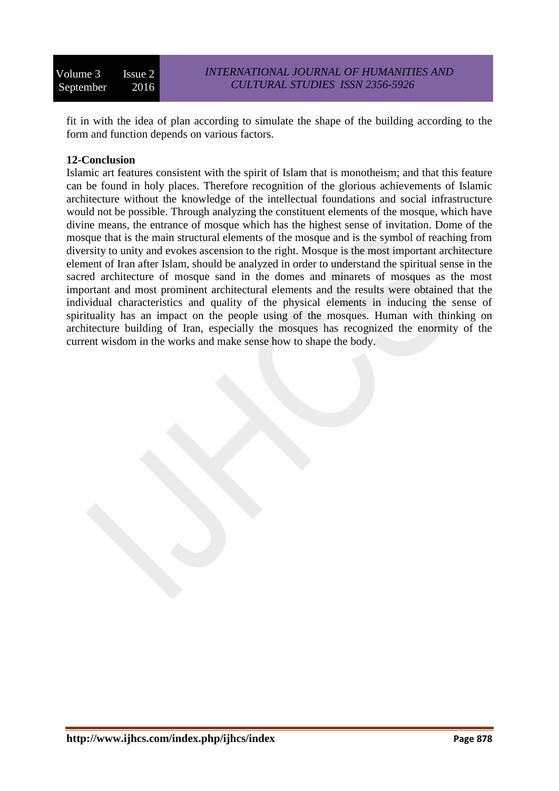fit in with the idea of plan according to simulate the shape of the building according to the form and function depends on various factors.

### **12-Conclusion**

Islamic art features consistent with the spirit of Islam that is monotheism; and that this feature can be found in holy places. Therefore recognition of the glorious achievements of Islamic architecture without the knowledge of the intellectual foundations and social infrastructure would not be possible. Through analyzing the constituent elements of the mosque, which have divine means, the entrance of mosque which has the highest sense of invitation. Dome of the mosque that is the main structural elements of the mosque and is the symbol of reaching from diversity to unity and evokes ascension to the right. Mosque is the most important architecture element of Iran after Islam, should be analyzed in order to understand the spiritual sense in the sacred architecture of mosque sand in the domes and minarets of mosques as the most important and most prominent architectural elements and the results were obtained that the individual characteristics and quality of the physical elements in inducing the sense of spirituality has an impact on the people using of the mosques. Human with thinking on architecture building of Iran, especially the mosques has recognized the enormity of the current wisdom in the works and make sense how to shape the body.